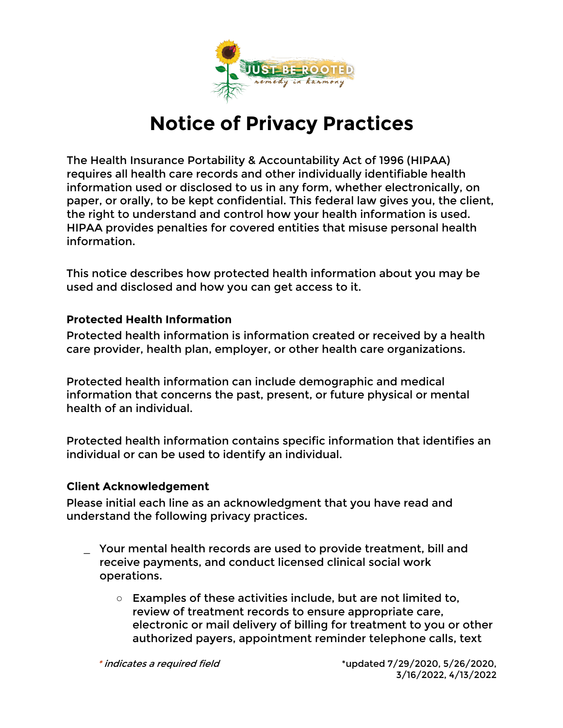

## **Notice of Privacy Practices**

The Health Insurance Portability & Accountability Act of 1996 (HIPAA) requires all health care records and other individually identifiable health information used or disclosed to us in any form, whether electronically, on paper, or orally, to be kept confidential. This federal law gives you, the client, the right to understand and control how your health information is used. HIPAA provides penalties for covered entities that misuse personal health information.

This notice describes how protected health information about you may be used and disclosed and how you can get access to it.

## **Protected Health Information**

Protected health information is information created or received by a health care provider, health plan, employer, or other health care organizations.

Protected health information can include demographic and medical information that concerns the past, present, or future physical or mental health of an individual.

Protected health information contains specific information that identifies an individual or can be used to identify an individual.

## **Client Acknowledgement**

Please initial each line as an acknowledgment that you have read and understand the following privacy practices.

- \_ Your mental health records are used to provide treatment, bill and receive payments, and conduct licensed clinical social work operations.
	- Examples of these activities include, but are not limited to, review of treatment records to ensure appropriate care, electronic or mail delivery of billing for treatment to you or other authorized payers, appointment reminder telephone calls, text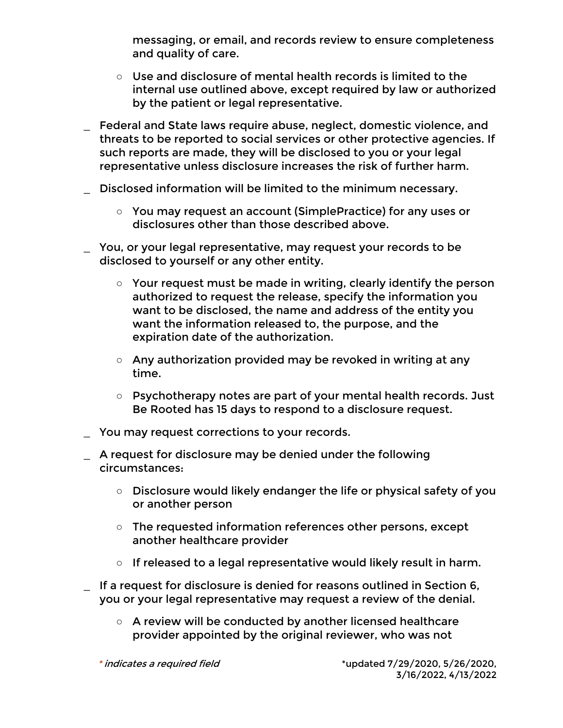messaging, or email, and records review to ensure completeness and quality of care.

- Use and disclosure of mental health records is limited to the internal use outlined above, except required by law or authorized by the patient or legal representative.
- \_ Federal and State laws require abuse, neglect, domestic violence, and threats to be reported to social services or other protective agencies. If such reports are made, they will be disclosed to you or your legal representative unless disclosure increases the risk of further harm.
- \_ Disclosed information will be limited to the minimum necessary.
	- You may request an account (SimplePractice) for any uses or disclosures other than those described above.
- \_ You, or your legal representative, may request your records to be disclosed to yourself or any other entity.
	- Your request must be made in writing, clearly identify the person authorized to request the release, specify the information you want to be disclosed, the name and address of the entity you want the information released to, the purpose, and the expiration date of the authorization.
	- Any authorization provided may be revoked in writing at any time.
	- Psychotherapy notes are part of your mental health records. Just Be Rooted has 15 days to respond to a disclosure request.
- You may request corrections to your records.
- \_ A request for disclosure may be denied under the following circumstances:
	- Disclosure would likely endanger the life or physical safety of you or another person
	- The requested information references other persons, except another healthcare provider
	- If released to a legal representative would likely result in harm.
- \_ If a request for disclosure is denied for reasons outlined in Section 6, you or your legal representative may request a review of the denial.
	- A review will be conducted by another licensed healthcare provider appointed by the original reviewer, who was not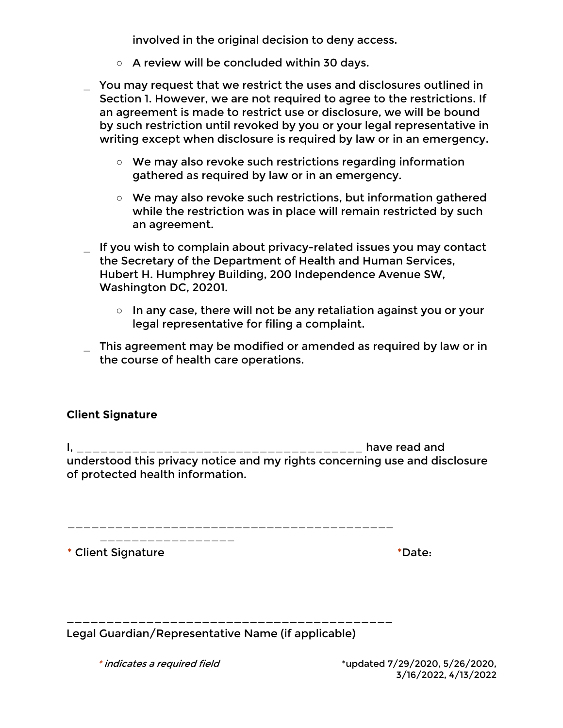involved in the original decision to deny access.

- A review will be concluded within 30 days.
- \_ You may request that we restrict the uses and disclosures outlined in Section 1. However, we are not required to agree to the restrictions. If an agreement is made to restrict use or disclosure, we will be bound by such restriction until revoked by you or your legal representative in writing except when disclosure is required by law or in an emergency.
	- We may also revoke such restrictions regarding information gathered as required by law or in an emergency.
	- We may also revoke such restrictions, but information gathered while the restriction was in place will remain restricted by such an agreement.
- \_ If you wish to complain about privacy-related issues you may contact the Secretary of the Department of Health and Human Services, Hubert H. Humphrey Building, 200 Independence Avenue SW, Washington DC, 20201.
	- In any case, there will not be any retaliation against you or your legal representative for filing a complaint.
- \_ This agreement may be modified or amended as required by law or in the course of health care operations.

## **Client Signature**

I, \_\_\_\_\_\_\_\_\_\_\_\_\_\_\_\_\_\_\_\_\_\_\_\_\_\_\_\_\_\_\_\_\_\_\_\_ have read and understood this privacy notice and my rights concerning use and disclosure of protected health information.

\_\_\_\_\_\_\_\_\_\_\_\_\_\_\_\_\_\_\_\_\_\_\_\_\_\_\_\_\_\_\_\_\_\_\_\_\_\_\_\_\_

\_\_\_\_\_\_\_\_\_\_\_\_\_\_\_\_\_\_\_\_\_\_\_\_\_\_\_\_\_\_\_\_\_\_\_\_\_\_\_\_\_

\* Client Signature \* No. 2016 and 2017 and 2018 and 2018 and 2018 and 2018 and 2018 and 2018 and 2019 and 2019 and 2019 and 2019 and 2019 and 2019 and 2019 and 2019 and 2019 and 2019 and 2019 and 2019 and 2019 and 2019 and

Legal Guardian/Representative Name (if applicable)

\_\_\_\_\_\_\_\_\_\_\_\_\_\_\_\_\_